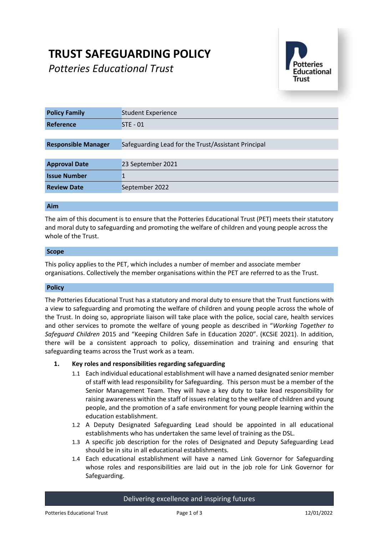# **TRUST SAFEGUARDING POLICY**

*Potteries Educational Trust*



| <b>Policy Family</b>       | <b>Student Experience</b>                           |
|----------------------------|-----------------------------------------------------|
| Reference                  | $STE - 01$                                          |
|                            |                                                     |
| <b>Responsible Manager</b> | Safeguarding Lead for the Trust/Assistant Principal |
|                            |                                                     |
| <b>Approval Date</b>       | 23 September 2021                                   |
| <b>Issue Number</b>        |                                                     |
| <b>Review Date</b>         | September 2022                                      |

# **Aim**

The aim of this document is to ensure that the Potteries Educational Trust (PET) meets their statutory and moral duty to safeguarding and promoting the welfare of children and young people across the whole of the Trust.

## **Scope**

This policy applies to the PET, which includes a number of member and associate member organisations. Collectively the member organisations within the PET are referred to as the Trust.

## **Policy**

The Potteries Educational Trust has a statutory and moral duty to ensure that the Trust functions with a view to safeguarding and promoting the welfare of children and young people across the whole of the Trust. In doing so, appropriate liaison will take place with the police, social care, health services and other services to promote the welfare of young people as described in "*Working Together to Safeguard Children* 2015 and "Keeping Children Safe in Education 2020". (KCSiE 2021). In addition, there will be a consistent approach to policy, dissemination and training and ensuring that safeguarding teams across the Trust work as a team.

## **1. Key roles and responsibilities regarding safeguarding**

- 1.1 Each individual educational establishment will have a named designated senior member of staff with lead responsibility for Safeguarding. This person must be a member of the Senior Management Team. They will have a key duty to take lead responsibility for raising awareness within the staff of issues relating to the welfare of children and young people, and the promotion of a safe environment for young people learning within the education establishment.
- 1.2 A Deputy Designated Safeguarding Lead should be appointed in all educational establishments who has undertaken the same level of training as the DSL.
- 1.3 A specific job description for the roles of Designated and Deputy Safeguarding Lead should be in situ in all educational establishments.
- 1.4 Each educational establishment will have a named Link Governor for Safeguarding whose roles and responsibilities are laid out in the job role for Link Governor for Safeguarding.

Delivering excellence and inspiring futures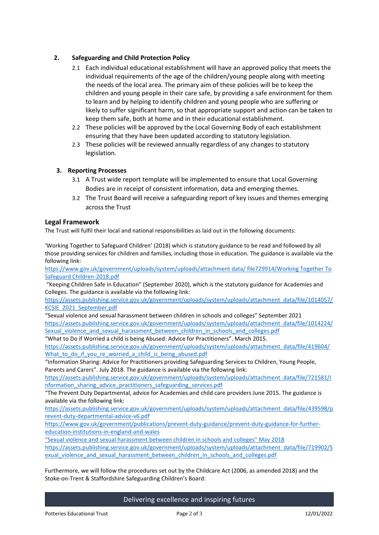# **2. Safeguarding and Child Protection Policy**

- 2.1 Each individual educational establishment will have an approved policy that meets the individual requirements of the age of the children/young people along with meeting the needs of the local area. The primary aim of these policies will be to keep the children and young people in their care safe, by providing a safe environment for them to learn and by helping to identify children and young people who are suffering or likely to suffer significant harm, so that appropriate support and action can be taken to keep them safe, both at home and in their educational establishment.
- 2.2 These policies will be approved by the Local Governing Body of each establishment ensuring that they have been updated according to statutory legislation.
- 2.3 These policies will be reviewed annually regardless of any changes to statutory legislation.

# **3. Reporting Processes**

- 3.1 A Trust wide report template will be implemented to ensure that Local Governing Bodies are in receipt of consistent information, data and emerging themes.
- 3.2 The Trust Board will receive a safeguarding report of key issues and themes emerging across the Trust

## **Legal Framework**

The Trust will fulfil their local and national responsibilities as laid out in the following documents:

'Working Together to Safeguard Children' (2018) which is statutory guidance to be read and followed by all those providing services for children and families, including those in education. The guidance is available via the following link:

[https://www.gov.uk/government/uploads/system/uploads/attachment data/ file729914/Working Together To](https://www.gov.uk/government/uploads/system/uploads/attachment%20data/%20file729914/Working%20Together%20To%20Safeguard%20Children-2018.pdf)  [Safeguard Children-2018.pdf](https://www.gov.uk/government/uploads/system/uploads/attachment%20data/%20file729914/Working%20Together%20To%20Safeguard%20Children-2018.pdf)

"Keeping Children Safe in Education" (September 2020), which is the statutory guidance for Academies and Colleges. The guidance is available via the following link:

[https://assets.publishing.service.gov.uk/government/uploads/system/uploads/attachment\\_data/file/1014057/](https://assets.publishing.service.gov.uk/government/uploads/system/uploads/attachment_data/file/1014057/KCSIE_2021_September.pdf) [KCSIE\\_2021\\_September.pdf](https://assets.publishing.service.gov.uk/government/uploads/system/uploads/attachment_data/file/1014057/KCSIE_2021_September.pdf)

"Sexual violence and sexual harassment between children in schools and colleges" September 2021 [https://assets.publishing.service.gov.uk/government/uploads/system/uploads/attachment\\_data/file/1014224/](https://assets.publishing.service.gov.uk/government/uploads/system/uploads/attachment_data/file/1014224/Sexual_violence_and_sexual_harassment_between_children_in_schools_and_colleges.pdf) [Sexual\\_violence\\_and\\_sexual\\_harassment\\_between\\_children\\_in\\_schools\\_and\\_colleges.pdf](https://assets.publishing.service.gov.uk/government/uploads/system/uploads/attachment_data/file/1014224/Sexual_violence_and_sexual_harassment_between_children_in_schools_and_colleges.pdf)

"What to Do if Worried a child is being Abused: Advice for Practitioners". March 2015.

[https://assets.publishing.service.gov.uk/government/uploads/system/uploads/attachment\\_data/file/419604/](https://assets.publishing.service.gov.uk/government/uploads/system/uploads/attachment_data/file/419604/What_to_do_if_you_re_worried_a_child_is_being_abused.pdf) What to do if you re worried a child is being abused.pdf

"Information Sharing: Advice for Practitioners providing Safeguarding Services to Children, Young People, Parents and Carers". July 2018. The guidance is available via the following link:

[https://assets.publishing.service.gov.uk/government/uploads/system/uploads/attachment\\_data/file/721581/I](https://assets.publishing.service.gov.uk/government/uploads/system/uploads/attachment_data/file/721581/Information_sharing_advice_practitioners_safeguarding_services.pdf) [nformation\\_sharing\\_advice\\_practitioners\\_safeguarding\\_services.pdf](https://assets.publishing.service.gov.uk/government/uploads/system/uploads/attachment_data/file/721581/Information_sharing_advice_practitioners_safeguarding_services.pdf)

"The Prevent Duty Departmental, advice for Academies and child care providers June 2015. The guidance is available via the following link:

[https://assets.publishing.service.gov.uk/government/uploads/system/uploads/attachment\\_data/file/439598/p](https://assets.publishing.service.gov.uk/government/uploads/system/uploads/attachment_data/file/439598/prevent-duty-departmental-advice-v6.pdf) [revent-duty-departmental-advice-v6.pdf](https://assets.publishing.service.gov.uk/government/uploads/system/uploads/attachment_data/file/439598/prevent-duty-departmental-advice-v6.pdf)

[https://www.gov.uk/government/publications/prevent-duty-guidance/prevent-duty-guidance-for-further](https://www.gov.uk/government/publications/prevent-duty-guidance/prevent-duty-guidance-for-further-education-institutions-in-england-and-wales)[education-institutions-in-england-and-wales](https://www.gov.uk/government/publications/prevent-duty-guidance/prevent-duty-guidance-for-further-education-institutions-in-england-and-wales)

"Sexual violence and sexual harassment between children in schools and colleges" May 2018 [https://assets.publishing.service.gov.uk/government/uploads/system/uploads/attachment\\_data/file/719902/S](https://assets.publishing.service.gov.uk/government/uploads/system/uploads/attachment_data/file/719902/Sexual_violence_and_sexual_harassment_between_children_in_schools_and_colleges.pdf) [exual\\_violence\\_and\\_sexual\\_harassment\\_between\\_children\\_in\\_schools\\_and\\_colleges.pdf](https://assets.publishing.service.gov.uk/government/uploads/system/uploads/attachment_data/file/719902/Sexual_violence_and_sexual_harassment_between_children_in_schools_and_colleges.pdf)

Furthermore, we will follow the procedures set out by the Childcare Act (2006, as amended 2018) and the Stoke-on-Trent & Staffordshire Safeguarding Children's Board:

# Delivering excellence and inspiring futures